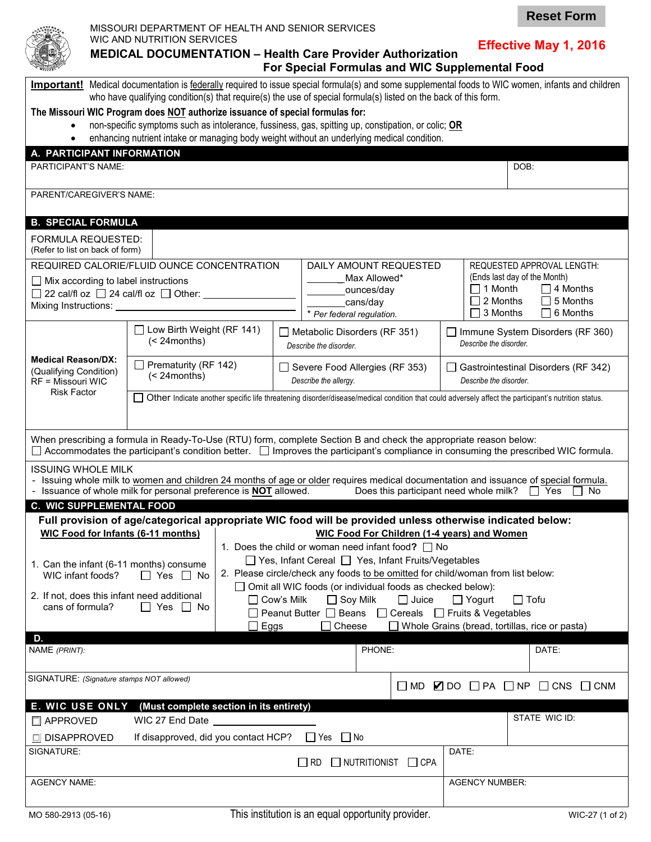**Effective May 1, 2016**

**Reset Form**

## **MEDICAL DOCUMENTATION – Health Care Provider Authorization For Special Formulas and WIC Supplemental Food**

| Important! Medical documentation is federally required to issue special formula(s) and some supplemental foods to WIC women, infants and children<br>who have qualifying condition(s) that require(s) the use of special formula(s) listed on the back of this form.<br>The Missouri WIC Program does NOT authorize issuance of special formulas for:<br>non-specific symptoms such as intolerance, fussiness, gas, spitting up, constipation, or colic; OR |                                                                                                                                                     |                                                                                                                                                                                                                                        |                                                                                                                                                                                                                                                                |                                                                                                                                                                 |                                                                   |                                                                                                                                                                                |                                                               |  |  |  |
|-------------------------------------------------------------------------------------------------------------------------------------------------------------------------------------------------------------------------------------------------------------------------------------------------------------------------------------------------------------------------------------------------------------------------------------------------------------|-----------------------------------------------------------------------------------------------------------------------------------------------------|----------------------------------------------------------------------------------------------------------------------------------------------------------------------------------------------------------------------------------------|----------------------------------------------------------------------------------------------------------------------------------------------------------------------------------------------------------------------------------------------------------------|-----------------------------------------------------------------------------------------------------------------------------------------------------------------|-------------------------------------------------------------------|--------------------------------------------------------------------------------------------------------------------------------------------------------------------------------|---------------------------------------------------------------|--|--|--|
|                                                                                                                                                                                                                                                                                                                                                                                                                                                             |                                                                                                                                                     |                                                                                                                                                                                                                                        |                                                                                                                                                                                                                                                                | enhancing nutrient intake or managing body weight without an underlying medical condition.                                                                      |                                                                   |                                                                                                                                                                                |                                                               |  |  |  |
| A. PARTICIPANT INFORMATION<br><b>PARTICIPANT'S NAME:</b>                                                                                                                                                                                                                                                                                                                                                                                                    |                                                                                                                                                     |                                                                                                                                                                                                                                        |                                                                                                                                                                                                                                                                |                                                                                                                                                                 |                                                                   |                                                                                                                                                                                | DOB:                                                          |  |  |  |
| PARENT/CAREGIVER'S NAME:                                                                                                                                                                                                                                                                                                                                                                                                                                    |                                                                                                                                                     |                                                                                                                                                                                                                                        |                                                                                                                                                                                                                                                                |                                                                                                                                                                 |                                                                   |                                                                                                                                                                                |                                                               |  |  |  |
| <b>B. SPECIAL FORMULA</b>                                                                                                                                                                                                                                                                                                                                                                                                                                   |                                                                                                                                                     |                                                                                                                                                                                                                                        |                                                                                                                                                                                                                                                                |                                                                                                                                                                 |                                                                   |                                                                                                                                                                                |                                                               |  |  |  |
| FORMULA REQUESTED:<br>(Refer to list on back of form)                                                                                                                                                                                                                                                                                                                                                                                                       |                                                                                                                                                     |                                                                                                                                                                                                                                        |                                                                                                                                                                                                                                                                |                                                                                                                                                                 |                                                                   |                                                                                                                                                                                |                                                               |  |  |  |
| REQUIRED CALORIE/FLUID OUNCE CONCENTRATION<br>$\Box$ Mix according to label instructions<br>$\Box$ 22 cal/fl oz $\Box$ 24 cal/fl oz $\Box$ Other:                                                                                                                                                                                                                                                                                                           |                                                                                                                                                     |                                                                                                                                                                                                                                        |                                                                                                                                                                                                                                                                | DAILY AMOUNT REQUESTED<br>Max Allowed*<br>ounces/day<br>cans/day<br>* Per federal regulation.                                                                   |                                                                   | REQUESTED APPROVAL LENGTH:<br>(Ends last day of the Month)<br>$\Box$ 1 Month<br>$\Box$ 4 Months<br>$\Box$ 5 Months<br>$\square$ 2 Months<br>$\Box$ 3 Months<br>$\Box$ 6 Months |                                                               |  |  |  |
|                                                                                                                                                                                                                                                                                                                                                                                                                                                             | Low Birth Weight (RF 141)<br>$(< 24$ months)                                                                                                        |                                                                                                                                                                                                                                        | $\Box$ Metabolic Disorders (RF 351)<br>Describe the disorder.                                                                                                                                                                                                  |                                                                                                                                                                 | $\Box$ Immune System Disorders (RF 360)<br>Describe the disorder. |                                                                                                                                                                                |                                                               |  |  |  |
| <b>Medical Reason/DX:</b><br>(Qualifying Condition)<br>RF = Missouri WIC                                                                                                                                                                                                                                                                                                                                                                                    | $\Box$ Prematurity (RF 142)<br>$(< 24$ months)                                                                                                      |                                                                                                                                                                                                                                        |                                                                                                                                                                                                                                                                | $\Box$ Severe Food Allergies (RF 353)<br>Describe the allergy.                                                                                                  |                                                                   | Describe the disorder.                                                                                                                                                         | Gastrointestinal Disorders (RF 342)                           |  |  |  |
| <b>Risk Factor</b>                                                                                                                                                                                                                                                                                                                                                                                                                                          | Other Indicate another specific life threatening disorder/disease/medical condition that could adversely affect the participant's nutrition status. |                                                                                                                                                                                                                                        |                                                                                                                                                                                                                                                                |                                                                                                                                                                 |                                                                   |                                                                                                                                                                                |                                                               |  |  |  |
| When prescribing a formula in Ready-To-Use (RTU) form, complete Section B and check the appropriate reason below:<br>$\Box$ Accommodates the participant's condition better. $\Box$ Improves the participant's compliance in consuming the prescribed WIC formula.                                                                                                                                                                                          |                                                                                                                                                     |                                                                                                                                                                                                                                        |                                                                                                                                                                                                                                                                |                                                                                                                                                                 |                                                                   |                                                                                                                                                                                |                                                               |  |  |  |
| <b>ISSUING WHOLE MILK</b><br>- Issuing whole milk to women and children 24 months of age or older requires medical documentation and issuance of special formula.<br>- Issuance of whole milk for personal preference is <b>NOT</b> allowed.<br>Does this participant need whole milk? $\Box$ Yes<br>No                                                                                                                                                     |                                                                                                                                                     |                                                                                                                                                                                                                                        |                                                                                                                                                                                                                                                                |                                                                                                                                                                 |                                                                   |                                                                                                                                                                                |                                                               |  |  |  |
| <b>C. WIC SUPPLEMENTAL FOOD</b>                                                                                                                                                                                                                                                                                                                                                                                                                             |                                                                                                                                                     |                                                                                                                                                                                                                                        |                                                                                                                                                                                                                                                                |                                                                                                                                                                 |                                                                   |                                                                                                                                                                                |                                                               |  |  |  |
| <b>WIC Food for Infants (6-11 months)</b>                                                                                                                                                                                                                                                                                                                                                                                                                   |                                                                                                                                                     |                                                                                                                                                                                                                                        |                                                                                                                                                                                                                                                                | Full provision of age/categorical appropriate WIC food will be provided unless otherwise indicated below:<br><b>WIC Food For Children (1-4 years) and Women</b> |                                                                   |                                                                                                                                                                                |                                                               |  |  |  |
| 1. Can the infant (6-11 months) consume<br>WIC infant foods?                                                                                                                                                                                                                                                                                                                                                                                                | $\Box$ Yes $\Box$ No                                                                                                                                |                                                                                                                                                                                                                                        | 1. Does the child or woman need infant food? I I No<br>□ Yes, Infant Cereal □ Yes, Infant Fruits/Vegetables<br>2. Please circle/check any foods to be omitted for child/woman from list below:<br>□ Omit all WIC foods (or individual foods as checked below): |                                                                                                                                                                 |                                                                   |                                                                                                                                                                                |                                                               |  |  |  |
| 2. If not, does this infant need additional<br>cans of formula?                                                                                                                                                                                                                                                                                                                                                                                             | $\Box$ Yes<br>IINo                                                                                                                                  | □ Cow's Milk<br>$\Box$ Soy Milk<br>$\Box$ Juice<br>$\Box$ Yogurt<br>$\Box$ Tofu<br>□ Peanut Butter □ Beans □ Cereals □ Fruits & Vegetables<br>$\Box$ Cheese<br>$\Box$ Whole Grains (bread, tortillas, rice or pasta)<br>$\square$ Eggs |                                                                                                                                                                                                                                                                |                                                                                                                                                                 |                                                                   |                                                                                                                                                                                |                                                               |  |  |  |
| D.                                                                                                                                                                                                                                                                                                                                                                                                                                                          |                                                                                                                                                     |                                                                                                                                                                                                                                        |                                                                                                                                                                                                                                                                |                                                                                                                                                                 |                                                                   |                                                                                                                                                                                |                                                               |  |  |  |
| NAME (PRINT):<br>DR. MELISSA WHITSON                                                                                                                                                                                                                                                                                                                                                                                                                        |                                                                                                                                                     |                                                                                                                                                                                                                                        |                                                                                                                                                                                                                                                                | PHONE:<br>314-351-2004                                                                                                                                          |                                                                   |                                                                                                                                                                                | DATE:                                                         |  |  |  |
| SIGNATURE: (Signature stamps NOT allowed)                                                                                                                                                                                                                                                                                                                                                                                                                   |                                                                                                                                                     |                                                                                                                                                                                                                                        |                                                                                                                                                                                                                                                                |                                                                                                                                                                 |                                                                   |                                                                                                                                                                                | $\Box$ MD $\Box$ DO $\Box$ PA $\Box$ NP $\Box$ CNS $\Box$ CNM |  |  |  |
| <b>E. WIC USE ONLY</b>                                                                                                                                                                                                                                                                                                                                                                                                                                      | (Must complete section in its entirety)                                                                                                             |                                                                                                                                                                                                                                        |                                                                                                                                                                                                                                                                |                                                                                                                                                                 |                                                                   |                                                                                                                                                                                | STATE WIC ID:                                                 |  |  |  |
| APPROVED                                                                                                                                                                                                                                                                                                                                                                                                                                                    | WIC 27 End Date                                                                                                                                     |                                                                                                                                                                                                                                        |                                                                                                                                                                                                                                                                |                                                                                                                                                                 |                                                                   |                                                                                                                                                                                |                                                               |  |  |  |
| SIGNATURE:                                                                                                                                                                                                                                                                                                                                                                                                                                                  | If disapproved, did you contact HCP?<br>□ DISAPPROVED<br>$\Box$ Yes<br>│ No<br>DATE:<br>$\Box$ RD<br>NUTRITIONIST<br>$\Box$ CPA                     |                                                                                                                                                                                                                                        |                                                                                                                                                                                                                                                                |                                                                                                                                                                 |                                                                   |                                                                                                                                                                                |                                                               |  |  |  |
| <b>AGENCY NAME:</b>                                                                                                                                                                                                                                                                                                                                                                                                                                         |                                                                                                                                                     |                                                                                                                                                                                                                                        |                                                                                                                                                                                                                                                                |                                                                                                                                                                 |                                                                   | <b>AGENCY NUMBER:</b>                                                                                                                                                          |                                                               |  |  |  |